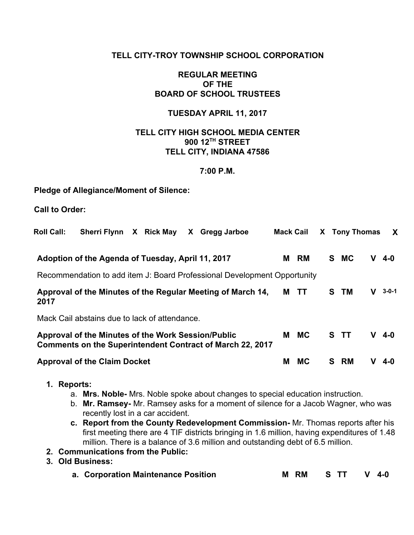# **TELL CITY-TROY TOWNSHIP SCHOOL CORPORATION**

# **REGULAR MEETING OF THE BOARD OF SCHOOL TRUSTEES**

# **TUESDAY APRIL 11, 2017**

# **TELL CITY HIGH SCHOOL MEDIA CENTER 900 12 TH STREET TELL CITY, INDIANA 47586**

#### **7:00 P.M.**

#### **Pledge of Allegiance/Moment of Silence:**

**Call to Order:**

| <b>Roll Call:</b> | X Rick May<br><b>Sherri Flynn</b><br>X Gregg Jarboe |  |  | <b>Mack Cail</b>                                                         |   | X Tony Thomas | X        |   |       |
|-------------------|-----------------------------------------------------|--|--|--------------------------------------------------------------------------|---|---------------|----------|---|-------|
|                   | Adoption of the Agenda of Tuesday, April 11, 2017   |  |  |                                                                          | М | RM            | S MC     | v | 4-0   |
|                   |                                                     |  |  | Recommendation to add item J: Board Professional Development Opportunity |   |               |          |   |       |
| 2017              |                                                     |  |  | Approval of the Minutes of the Regular Meeting of March 14,              | М | ा             | TM<br>S. | v | 3-0-1 |
|                   | Mack Cail abstains due to lack of attendance.       |  |  |                                                                          |   |               |          |   |       |
|                   | Approval of the Minutes of the Work Session/Public  |  |  | Comments on the Superintendent Contract of March 22, 2017                | м | <b>MC</b>     | S TT     | v | 4-0   |
|                   | <b>Approval of the Claim Docket</b>                 |  |  |                                                                          | М | <b>MC</b>     | RM<br>S. | v | 4-0   |

- **1. Reports:**
	- a. **Mrs. Noble-** Mrs. Noble spoke about changes to special education instruction.
	- b. **Mr. Ramsey-** Mr. Ramsey asks for a moment of silence for a Jacob Wagner, who was recently lost in a car accident.
	- **c. Report from the County Redevelopment Commission-** Mr. Thomas reports after his first meeting there are 4 TIF districts bringing in 1.6 million, having expenditures of 1.48 million. There is a balance of 3.6 million and outstanding debt of 6.5 million.
- **2. Communications from the Public:**
- **3. Old Business:**
	- **a. Corporation Maintenance Position M RM S TT V 4-0**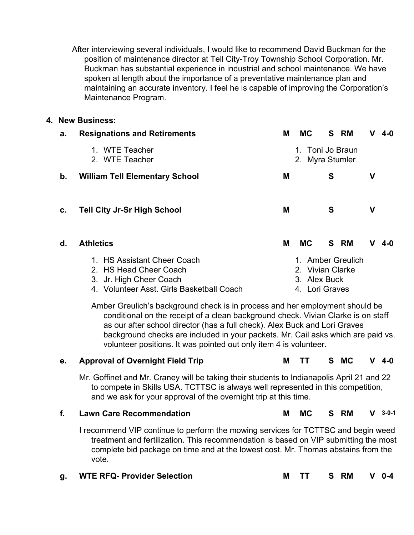After interviewing several individuals, I would like to recommend David Buckman for the position of maintenance director at Tell City-Troy Township School Corporation. Mr. Buckman has substantial experience in industrial and school maintenance. We have spoken at length about the importance of a preventative maintenance plan and maintaining an accurate inventory. I feel he is capable of improving the Corporation's Maintenance Program.

#### **4. New Business:**

| а. | <b>Resignations and Retirements</b>       | Μ | МC                                  |   | S RM              | v | 4-0 |  |  |  |
|----|-------------------------------------------|---|-------------------------------------|---|-------------------|---|-----|--|--|--|
|    | 1. WTE Teacher<br>2. WTE Teacher          |   | 1. Toni Jo Braun<br>2. Myra Stumler |   |                   |   |     |  |  |  |
| b. | <b>William Tell Elementary School</b>     | M |                                     | S |                   | ۷ |     |  |  |  |
|    |                                           |   |                                     |   |                   |   |     |  |  |  |
| c. | <b>Tell City Jr-Sr High School</b>        | M |                                     | S |                   | ۷ |     |  |  |  |
|    |                                           |   |                                     |   |                   |   |     |  |  |  |
| d. | <b>Athletics</b>                          | М | <b>MC</b>                           |   | S RM              | v | 4-0 |  |  |  |
|    | 1. HS Assistant Cheer Coach               |   |                                     |   | 1. Amber Greulich |   |     |  |  |  |
|    | 2. HS Head Cheer Coach                    |   | 2. Vivian Clarke                    |   |                   |   |     |  |  |  |
|    | 3. Jr. High Cheer Coach                   |   | 3. Alex Buck                        |   |                   |   |     |  |  |  |
|    | 4. Volunteer Asst. Girls Basketball Coach |   | 4. Lori Graves                      |   |                   |   |     |  |  |  |

Amber Greulich's background check is in process and her employment should be conditional on the receipt of a clean background check. Vivian Clarke is on staff as our after school director (has a full check). Alex Buck and Lori Graves background checks are included in your packets. Mr. Cail asks which are paid vs. volunteer positions. It was pointed out only item 4 is volunteer.

### **e. Approval of Overnight Field Trip M TT S MC V 4-0**

Mr. Goffinet and Mr. Craney will be taking their students to Indianapolis April 21 and 22 to compete in Skills USA. TCTTSC is always well represented in this competition, and we ask for your approval of the overnight trip at this time.

# **f. Lawn Care Recommendation M MC S RM V 3-0-1**

I recommend VIP continue to perform the mowing services for TCTTSC and begin weed treatment and fertilization. This recommendation is based on VIP submitting the most complete bid package on time and at the lowest cost. Mr. Thomas abstains from the vote.

| g. WTE RFQ- Provider Selection |  |  |  | M TT S RM V 0-4 |  |  |
|--------------------------------|--|--|--|-----------------|--|--|
|--------------------------------|--|--|--|-----------------|--|--|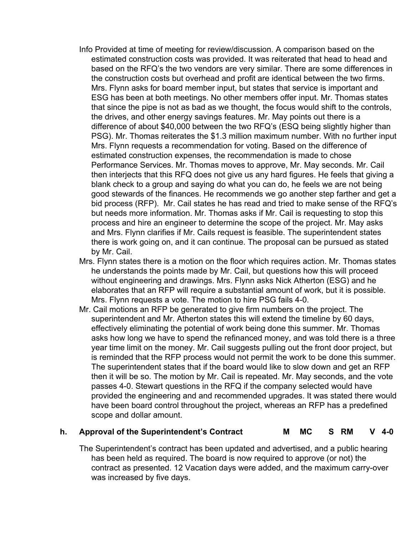- Info Provided at time of meeting for review/discussion. A comparison based on the estimated construction costs was provided. It was reiterated that head to head and based on the RFQ's the two vendors are very similar. There are some differences in the construction costs but overhead and profit are identical between the two firms. Mrs. Flynn asks for board member input, but states that service is important and ESG has been at both meetings. No other members offer input. Mr. Thomas states that since the pipe is not as bad as we thought, the focus would shift to the controls, the drives, and other energy savings features. Mr. May points out there is a difference of about \$40,000 between the two RFQ's (ESQ being slightly higher than PSG). Mr. Thomas reiterates the \$1.3 million maximum number. With no further input Mrs. Flynn requests a recommendation for voting. Based on the difference of estimated construction expenses, the recommendation is made to chose Performance Services. Mr. Thomas moves to approve, Mr. May seconds. Mr. Cail then interjects that this RFQ does not give us any hard figures. He feels that giving a blank check to a group and saying do what you can do, he feels we are not being good stewards of the finances. He recommends we go another step farther and get a bid process (RFP). Mr. Cail states he has read and tried to make sense of the RFQ's but needs more information. Mr. Thomas asks if Mr. Cail is requesting to stop this process and hire an engineer to determine the scope of the project. Mr. May asks and Mrs. Flynn clarifies if Mr. Cails request is feasible. The superintendent states there is work going on, and it can continue. The proposal can be pursued as stated by Mr. Cail.
- Mrs. Flynn states there is a motion on the floor which requires action. Mr. Thomas states he understands the points made by Mr. Cail, but questions how this will proceed without engineering and drawings. Mrs. Flynn asks Nick Atherton (ESG) and he elaborates that an RFP will require a substantial amount of work, but it is possible. Mrs. Flynn requests a vote. The motion to hire PSG fails 4-0.
- Mr. Cail motions an RFP be generated to give firm numbers on the project. The superintendent and Mr. Atherton states this will extend the timeline by 60 days, effectively eliminating the potential of work being done this summer. Mr. Thomas asks how long we have to spend the refinanced money, and was told there is a three year time limit on the money. Mr. Cail suggests pulling out the front door project, but is reminded that the RFP process would not permit the work to be done this summer. The superintendent states that if the board would like to slow down and get an RFP then it will be so. The motion by Mr. Cail is repeated. Mr. May seconds, and the vote passes 4-0. Stewart questions in the RFQ if the company selected would have provided the engineering and and recommended upgrades. It was stated there would have been board control throughout the project, whereas an RFP has a predefined scope and dollar amount.

### **h. Approval of the Superintendent's Contract M MC S RM V 4-0**

The Superintendent's contract has been updated and advertised, and a public hearing has been held as required. The board is now required to approve (or not) the contract as presented. 12 Vacation days were added, and the maximum carry-over was increased by five days.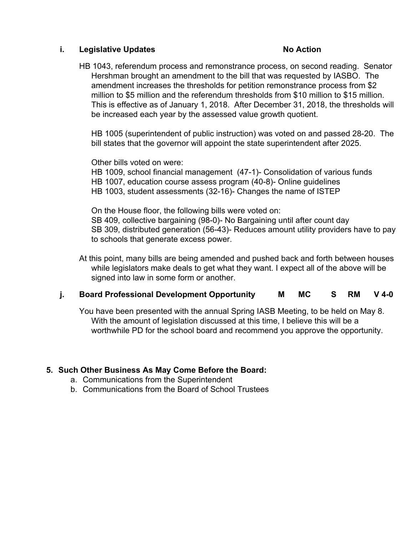### **i. Legislative Updates No Action**

HB 1043, referendum process and remonstrance process, on second reading. Senator Hershman brought an amendment to the bill that was requested by IASBO. The amendment increases the thresholds for petition remonstrance process from \$2 million to \$5 million and the referendum thresholds from \$10 million to \$15 million. This is effective as of January 1, 2018. After December 31, 2018, the thresholds will be increased each year by the assessed value growth quotient.

HB 1005 (superintendent of public instruction) was voted on and passed 28-20. The bill states that the governor will appoint the state superintendent after 2025.

Other bills voted on were:

HB 1009, school financial management (47-1)- Consolidation of various funds HB 1007, education course assess program (40-8)- Online guidelines HB 1003, student assessments (32-16)- Changes the name of ISTEP

On the House floor, the following bills were voted on: SB 409, collective bargaining (98-0)- No Bargaining until after count day SB 309, distributed generation (56-43)- Reduces amount utility providers have to pay to schools that generate excess power.

At this point, many bills are being amended and pushed back and forth between houses while legislators make deals to get what they want. I expect all of the above will be signed into law in some form or another.

# **j.** Board Professional Development Opportunity MMC S RM V 4-0

You have been presented with the annual Spring IASB Meeting, to be held on May 8. With the amount of legislation discussed at this time, I believe this will be a worthwhile PD for the school board and recommend you approve the opportunity.

### **5. Such Other Business As May Come Before the Board:**

- a. Communications from the Superintendent
- b. Communications from the Board of School Trustees